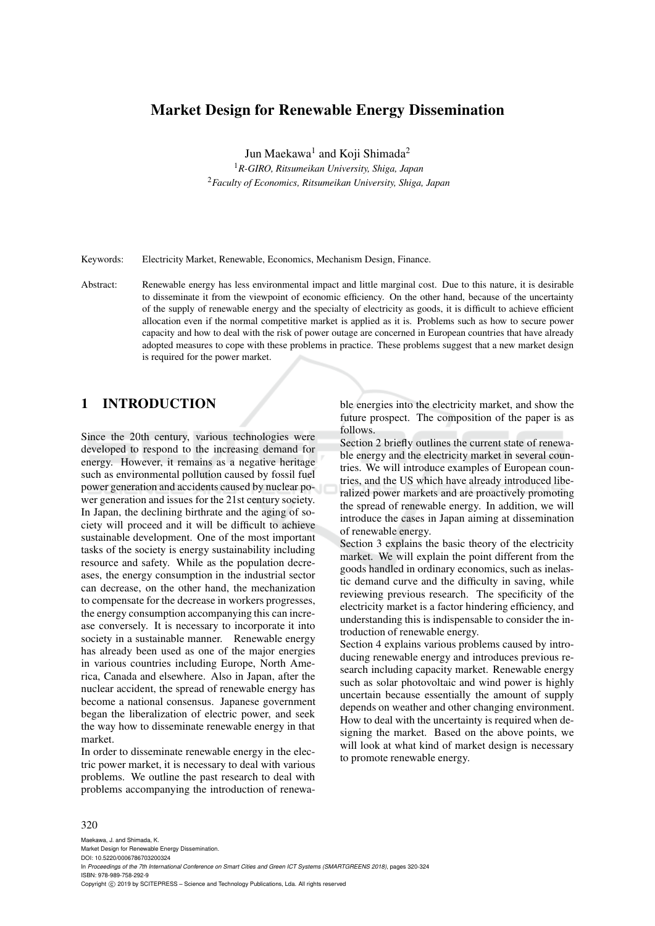# **Market Design for Renewable Energy Dissemination**

Jun Maekawa<sup>1</sup> and Koji Shimada<sup>2</sup>

<sup>1</sup>*R-GIRO, Ritsumeikan University, Shiga, Japan* <sup>2</sup>*Faculty of Economics, Ritsumeikan University, Shiga, Japan*

Keywords: Electricity Market, Renewable, Economics, Mechanism Design, Finance.

Abstract: Renewable energy has less environmental impact and little marginal cost. Due to this nature, it is desirable to disseminate it from the viewpoint of economic efficiency. On the other hand, because of the uncertainty of the supply of renewable energy and the specialty of electricity as goods, it is difficult to achieve efficient allocation even if the normal competitive market is applied as it is. Problems such as how to secure power capacity and how to deal with the risk of power outage are concerned in European countries that have already adopted measures to cope with these problems in practice. These problems suggest that a new market design is required for the power market.

# **1 INTRODUCTION**

Since the 20th century, various technologies were developed to respond to the increasing demand for energy. However, it remains as a negative heritage such as environmental pollution caused by fossil fuel power generation and accidents caused by nuclear power generation and issues for the 21st century society. In Japan, the declining birthrate and the aging of society will proceed and it will be difficult to achieve sustainable development. One of the most important tasks of the society is energy sustainability including resource and safety. While as the population decreases, the energy consumption in the industrial sector can decrease, on the other hand, the mechanization to compensate for the decrease in workers progresses, the energy consumption accompanying this can increase conversely. It is necessary to incorporate it into society in a sustainable manner. Renewable energy has already been used as one of the major energies in various countries including Europe, North America, Canada and elsewhere. Also in Japan, after the nuclear accident, the spread of renewable energy has become a national consensus. Japanese government began the liberalization of electric power, and seek the way how to disseminate renewable energy in that market.

In order to disseminate renewable energy in the electric power market, it is necessary to deal with various problems. We outline the past research to deal with problems accompanying the introduction of renewable energies into the electricity market, and show the future prospect. The composition of the paper is as follows.

Section 2 briefly outlines the current state of renewable energy and the electricity market in several countries. We will introduce examples of European countries, and the US which have already introduced liberalized power markets and are proactively promoting the spread of renewable energy. In addition, we will introduce the cases in Japan aiming at dissemination of renewable energy.

Section 3 explains the basic theory of the electricity market. We will explain the point different from the goods handled in ordinary economics, such as inelastic demand curve and the difficulty in saving, while reviewing previous research. The specificity of the electricity market is a factor hindering efficiency, and understanding this is indispensable to consider the introduction of renewable energy.

Section 4 explains various problems caused by introducing renewable energy and introduces previous research including capacity market. Renewable energy such as solar photovoltaic and wind power is highly uncertain because essentially the amount of supply depends on weather and other changing environment. How to deal with the uncertainty is required when designing the market. Based on the above points, we will look at what kind of market design is necessary to promote renewable energy.

#### 320

Maekawa, J. and Shimada, K. Market Design for Renewable Energy Dissemination. DOI: 10.5220/0006786703200324 In *Proceedings of the 7th International Conference on Smart Cities and Green ICT Systems (SMARTGREENS 2018)*, pages 320-324 ISBN: 978-989-758-292-9 Copyright © 2019 by SCITEPRESS - Science and Technology Publications, Lda. All rights reserved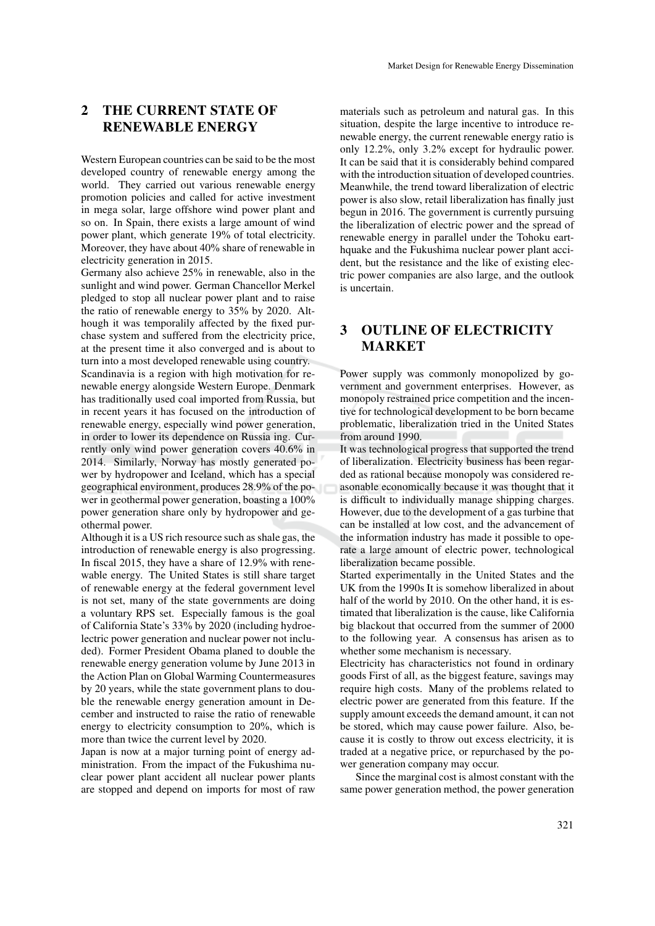# **2 THE CURRENT STATE OF RENEWABLE ENERGY**

Western European countries can be said to be the most developed country of renewable energy among the world. They carried out various renewable energy promotion policies and called for active investment in mega solar, large offshore wind power plant and so on. In Spain, there exists a large amount of wind power plant, which generate 19% of total electricity. Moreover, they have about 40% share of renewable in electricity generation in 2015.

Germany also achieve 25% in renewable, also in the sunlight and wind power. German Chancellor Merkel pledged to stop all nuclear power plant and to raise the ratio of renewable energy to 35% by 2020. Although it was temporalily affected by the fixed purchase system and suffered from the electricity price, at the present time it also converged and is about to turn into a most developed renewable using country. Scandinavia is a region with high motivation for renewable energy alongside Western Europe. Denmark has traditionally used coal imported from Russia, but in recent years it has focused on the introduction of renewable energy, especially wind power generation, in order to lower its dependence on Russia ing. Currently only wind power generation covers 40.6% in 2014. Similarly, Norway has mostly generated power by hydropower and Iceland, which has a special geographical environment, produces 28.9% of the power in geothermal power generation, boasting a 100% power generation share only by hydropower and geothermal power.

Although it is a US rich resource such as shale gas, the introduction of renewable energy is also progressing. In fiscal 2015, they have a share of 12.9% with renewable energy. The United States is still share target of renewable energy at the federal government level is not set, many of the state governments are doing a voluntary RPS set. Especially famous is the goal of California State's 33% by 2020 (including hydroelectric power generation and nuclear power not included). Former President Obama planed to double the renewable energy generation volume by June 2013 in the Action Plan on Global Warming Countermeasures by 20 years, while the state government plans to double the renewable energy generation amount in December and instructed to raise the ratio of renewable energy to electricity consumption to 20%, which is more than twice the current level by 2020.

Japan is now at a major turning point of energy administration. From the impact of the Fukushima nuclear power plant accident all nuclear power plants are stopped and depend on imports for most of raw

materials such as petroleum and natural gas. In this situation, despite the large incentive to introduce renewable energy, the current renewable energy ratio is only 12.2%, only 3.2% except for hydraulic power. It can be said that it is considerably behind compared with the introduction situation of developed countries. Meanwhile, the trend toward liberalization of electric power is also slow, retail liberalization has finally just begun in 2016. The government is currently pursuing the liberalization of electric power and the spread of renewable energy in parallel under the Tohoku earthquake and the Fukushima nuclear power plant accident, but the resistance and the like of existing electric power companies are also large, and the outlook is uncertain.

# **3 OUTLINE OF ELECTRICITY MARKET**

Power supply was commonly monopolized by government and government enterprises. However, as monopoly restrained price competition and the incentive for technological development to be born became problematic, liberalization tried in the United States from around 1990.

It was technological progress that supported the trend of liberalization. Electricity business has been regarded as rational because monopoly was considered reasonable economically because it was thought that it is difficult to individually manage shipping charges. However, due to the development of a gas turbine that can be installed at low cost, and the advancement of the information industry has made it possible to operate a large amount of electric power, technological liberalization became possible.

Started experimentally in the United States and the UK from the 1990s It is somehow liberalized in about half of the world by 2010. On the other hand, it is estimated that liberalization is the cause, like California big blackout that occurred from the summer of 2000 to the following year. A consensus has arisen as to whether some mechanism is necessary.

Electricity has characteristics not found in ordinary goods First of all, as the biggest feature, savings may require high costs. Many of the problems related to electric power are generated from this feature. If the supply amount exceeds the demand amount, it can not be stored, which may cause power failure. Also, because it is costly to throw out excess electricity, it is traded at a negative price, or repurchased by the power generation company may occur.

Since the marginal cost is almost constant with the same power generation method, the power generation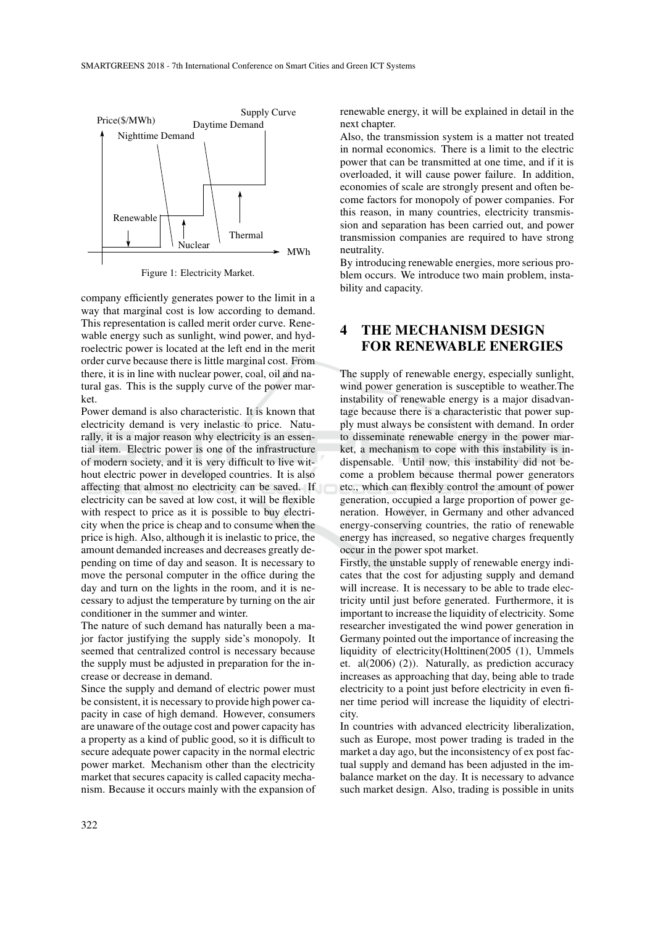

Figure 1: Electricity Market.

company efficiently generates power to the limit in a way that marginal cost is low according to demand. This representation is called merit order curve. Renewable energy such as sunlight, wind power, and hydroelectric power is located at the left end in the merit order curve because there is little marginal cost. From there, it is in line with nuclear power, coal, oil and natural gas. This is the supply curve of the power market.

Power demand is also characteristic. It is known that electricity demand is very inelastic to price. Naturally, it is a major reason why electricity is an essential item. Electric power is one of the infrastructure of modern society, and it is very difficult to live without electric power in developed countries. It is also affecting that almost no electricity can be saved. If electricity can be saved at low cost, it will be flexible with respect to price as it is possible to buy electricity when the price is cheap and to consume when the price is high. Also, although it is inelastic to price, the amount demanded increases and decreases greatly depending on time of day and season. It is necessary to move the personal computer in the office during the day and turn on the lights in the room, and it is necessary to adjust the temperature by turning on the air conditioner in the summer and winter.

The nature of such demand has naturally been a major factor justifying the supply side's monopoly. It seemed that centralized control is necessary because the supply must be adjusted in preparation for the increase or decrease in demand.

Since the supply and demand of electric power must be consistent, it is necessary to provide high power capacity in case of high demand. However, consumers are unaware of the outage cost and power capacity has a property as a kind of public good, so it is difficult to secure adequate power capacity in the normal electric power market. Mechanism other than the electricity market that secures capacity is called capacity mechanism. Because it occurs mainly with the expansion of renewable energy, it will be explained in detail in the next chapter.

Also, the transmission system is a matter not treated in normal economics. There is a limit to the electric power that can be transmitted at one time, and if it is overloaded, it will cause power failure. In addition, economies of scale are strongly present and often become factors for monopoly of power companies. For this reason, in many countries, electricity transmission and separation has been carried out, and power transmission companies are required to have strong neutrality.

By introducing renewable energies, more serious problem occurs. We introduce two main problem, instability and capacity.

# **4 THE MECHANISM DESIGN FOR RENEWABLE ENERGIES**

The supply of renewable energy, especially sunlight, wind power generation is susceptible to weather.The instability of renewable energy is a major disadvantage because there is a characteristic that power supply must always be consistent with demand. In order to disseminate renewable energy in the power market, a mechanism to cope with this instability is indispensable. Until now, this instability did not become a problem because thermal power generators etc., which can flexibly control the amount of power generation, occupied a large proportion of power generation. However, in Germany and other advanced energy-conserving countries, the ratio of renewable energy has increased, so negative charges frequently occur in the power spot market.

Firstly, the unstable supply of renewable energy indicates that the cost for adjusting supply and demand will increase. It is necessary to be able to trade electricity until just before generated. Furthermore, it is important to increase the liquidity of electricity. Some researcher investigated the wind power generation in Germany pointed out the importance of increasing the liquidity of electricity(Holttinen(2005 (1), Ummels et. al(2006) (2)). Naturally, as prediction accuracy increases as approaching that day, being able to trade electricity to a point just before electricity in even finer time period will increase the liquidity of electricity.

In countries with advanced electricity liberalization, such as Europe, most power trading is traded in the market a day ago, but the inconsistency of ex post factual supply and demand has been adjusted in the imbalance market on the day. It is necessary to advance such market design. Also, trading is possible in units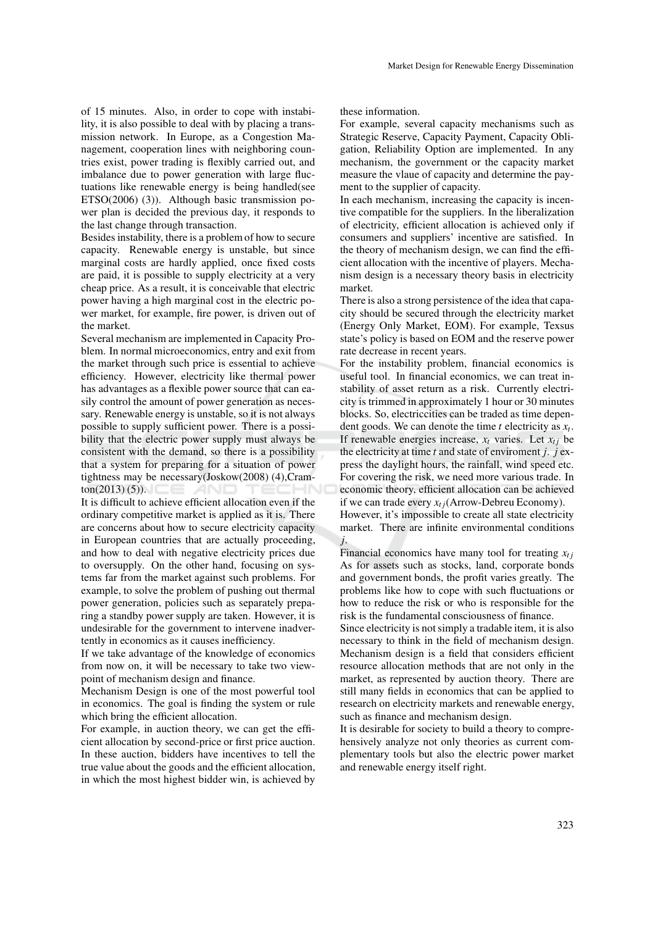of 15 minutes. Also, in order to cope with instability, it is also possible to deal with by placing a transmission network. In Europe, as a Congestion Management, cooperation lines with neighboring countries exist, power trading is flexibly carried out, and imbalance due to power generation with large fluctuations like renewable energy is being handled(see ETSO(2006) (3)). Although basic transmission power plan is decided the previous day, it responds to the last change through transaction.

Besides instability, there is a problem of how to secure capacity. Renewable energy is unstable, but since marginal costs are hardly applied, once fixed costs are paid, it is possible to supply electricity at a very cheap price. As a result, it is conceivable that electric power having a high marginal cost in the electric power market, for example, fire power, is driven out of the market.

Several mechanism are implemented in Capacity Problem. In normal microeconomics, entry and exit from the market through such price is essential to achieve efficiency. However, electricity like thermal power has advantages as a flexible power source that can easily control the amount of power generation as necessary. Renewable energy is unstable, so it is not always possible to supply sufficient power. There is a possibility that the electric power supply must always be consistent with the demand, so there is a possibility that a system for preparing for a situation of power tightness may be necessary(Joskow(2008) (4),Cram $tan(2013)(5)$ .

It is difficult to achieve efficient allocation even if the ordinary competitive market is applied as it is. There are concerns about how to secure electricity capacity in European countries that are actually proceeding, and how to deal with negative electricity prices due to oversupply. On the other hand, focusing on systems far from the market against such problems. For example, to solve the problem of pushing out thermal power generation, policies such as separately preparing a standby power supply are taken. However, it is undesirable for the government to intervene inadvertently in economics as it causes inefficiency.

If we take advantage of the knowledge of economics from now on, it will be necessary to take two viewpoint of mechanism design and finance.

Mechanism Design is one of the most powerful tool in economics. The goal is finding the system or rule which bring the efficient allocation.

For example, in auction theory, we can get the efficient allocation by second-price or first price auction. In these auction, bidders have incentives to tell the true value about the goods and the efficient allocation, in which the most highest bidder win, is achieved by these information.

For example, several capacity mechanisms such as Strategic Reserve, Capacity Payment, Capacity Obligation, Reliability Option are implemented. In any mechanism, the government or the capacity market measure the vlaue of capacity and determine the payment to the supplier of capacity.

In each mechanism, increasing the capacity is incentive compatible for the suppliers. In the liberalization of electricity, efficient allocation is achieved only if consumers and suppliers' incentive are satisfied. In the theory of mechanism design, we can find the efficient allocation with the incentive of players. Mechanism design is a necessary theory basis in electricity market.

There is also a strong persistence of the idea that capacity should be secured through the electricity market (Energy Only Market, EOM). For example, Texsus state's policy is based on EOM and the reserve power rate decrease in recent years.

For the instability problem, financial economics is useful tool. In financial economics, we can treat instability of asset return as a risk. Currently electricity is trimmed in approximately 1 hour or 30 minutes blocks. So, electriccities can be traded as time dependent goods. We can denote the time *t* electricity as *x<sup>t</sup>* . If renewable energies increase,  $x_t$  varies. Let  $x_{t i}$  be the electricity at time *t* and state of enviroment *j*. *j* express the daylight hours, the rainfall, wind speed etc. For covering the risk, we need more various trade. In economic theory, efficient allocation can be achieved if we can trade every  $x_{t}$  *j*(Arrow-Debreu Economy). However, it's impossible to create all state electricity market. There are infinite environmental conditions *j*.

Financial economics have many tool for treating  $x_{ti}$ As for assets such as stocks, land, corporate bonds and government bonds, the profit varies greatly. The problems like how to cope with such fluctuations or how to reduce the risk or who is responsible for the risk is the fundamental consciousness of finance.

Since electricity is not simply a tradable item, it is also necessary to think in the field of mechanism design. Mechanism design is a field that considers efficient resource allocation methods that are not only in the market, as represented by auction theory. There are still many fields in economics that can be applied to research on electricity markets and renewable energy, such as finance and mechanism design.

It is desirable for society to build a theory to comprehensively analyze not only theories as current complementary tools but also the electric power market and renewable energy itself right.